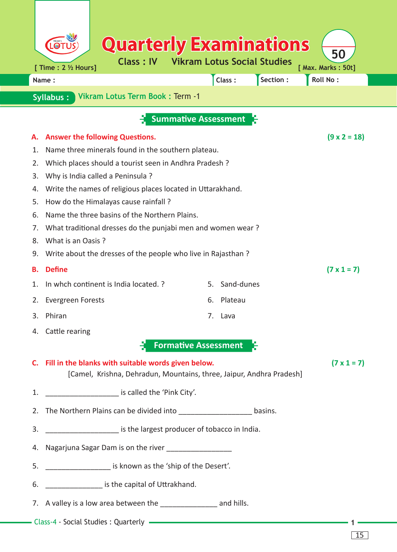|          | <b>Quarterly Examinations</b>                                                                                                                        |  |  |  |  |  |  |  |  |  |  |  |  |
|----------|------------------------------------------------------------------------------------------------------------------------------------------------------|--|--|--|--|--|--|--|--|--|--|--|--|
|          | 50<br><b>Class: IV</b><br><b>Vikram Lotus Social Studies</b>                                                                                         |  |  |  |  |  |  |  |  |  |  |  |  |
|          | [ Max. Marks: 50t]<br>[ Time : 2 1/2 Hours]<br>Roll No:<br>Section:<br>Class:<br>Name:                                                               |  |  |  |  |  |  |  |  |  |  |  |  |
|          | Vikram Lotus Term Book: Term -1<br><b>Syllabus:</b>                                                                                                  |  |  |  |  |  |  |  |  |  |  |  |  |
|          |                                                                                                                                                      |  |  |  |  |  |  |  |  |  |  |  |  |
|          | <b>Summative Assessment</b>                                                                                                                          |  |  |  |  |  |  |  |  |  |  |  |  |
| А.       | <b>Answer the following Questions.</b><br>$(9 \times 2 = 18)$                                                                                        |  |  |  |  |  |  |  |  |  |  |  |  |
| 1.       | Name three minerals found in the southern plateau.                                                                                                   |  |  |  |  |  |  |  |  |  |  |  |  |
| 2.       | Which places should a tourist seen in Andhra Pradesh ?                                                                                               |  |  |  |  |  |  |  |  |  |  |  |  |
| 3.       | Why is India called a Peninsula ?                                                                                                                    |  |  |  |  |  |  |  |  |  |  |  |  |
| 4.       | Write the names of religious places located in Uttarakhand.                                                                                          |  |  |  |  |  |  |  |  |  |  |  |  |
| 5.<br>6. | How do the Himalayas cause rainfall?<br>Name the three basins of the Northern Plains.                                                                |  |  |  |  |  |  |  |  |  |  |  |  |
| 7.       | What traditional dresses do the punjabi men and women wear?                                                                                          |  |  |  |  |  |  |  |  |  |  |  |  |
| 8.       | What is an Oasis?                                                                                                                                    |  |  |  |  |  |  |  |  |  |  |  |  |
| 9.       | Write about the dresses of the people who live in Rajasthan?                                                                                         |  |  |  |  |  |  |  |  |  |  |  |  |
| В.       | <b>Define</b><br>$(7 \times 1 = 7)$                                                                                                                  |  |  |  |  |  |  |  |  |  |  |  |  |
| 1.       | In whch continent is India located. ?<br>Sand-dunes<br>5.                                                                                            |  |  |  |  |  |  |  |  |  |  |  |  |
| 2.       | Plateau<br><b>Evergreen Forests</b><br>6.                                                                                                            |  |  |  |  |  |  |  |  |  |  |  |  |
| 3.       | Phiran<br>7.<br>Lava                                                                                                                                 |  |  |  |  |  |  |  |  |  |  |  |  |
|          | 4. Cattle rearing                                                                                                                                    |  |  |  |  |  |  |  |  |  |  |  |  |
|          | <b>Formative Assessment</b>                                                                                                                          |  |  |  |  |  |  |  |  |  |  |  |  |
|          | C. Fill in the blanks with suitable words given below.<br>$(7 \times 1 = 7)$<br>[Camel, Krishna, Dehradun, Mountains, three, Jaipur, Andhra Pradesh] |  |  |  |  |  |  |  |  |  |  |  |  |
| 1.       | is called the 'Pink City'.                                                                                                                           |  |  |  |  |  |  |  |  |  |  |  |  |
|          | 2. The Northern Plains can be divided into basins.                                                                                                   |  |  |  |  |  |  |  |  |  |  |  |  |
| 3.       | _________________________ is the largest producer of tobacco in India.                                                                               |  |  |  |  |  |  |  |  |  |  |  |  |
|          |                                                                                                                                                      |  |  |  |  |  |  |  |  |  |  |  |  |
| 5.       | _______________________ is known as the 'ship of the Desert'.                                                                                        |  |  |  |  |  |  |  |  |  |  |  |  |
| 6.       | _____________________ is the capital of Uttrakhand.                                                                                                  |  |  |  |  |  |  |  |  |  |  |  |  |
|          |                                                                                                                                                      |  |  |  |  |  |  |  |  |  |  |  |  |
|          |                                                                                                                                                      |  |  |  |  |  |  |  |  |  |  |  |  |

15